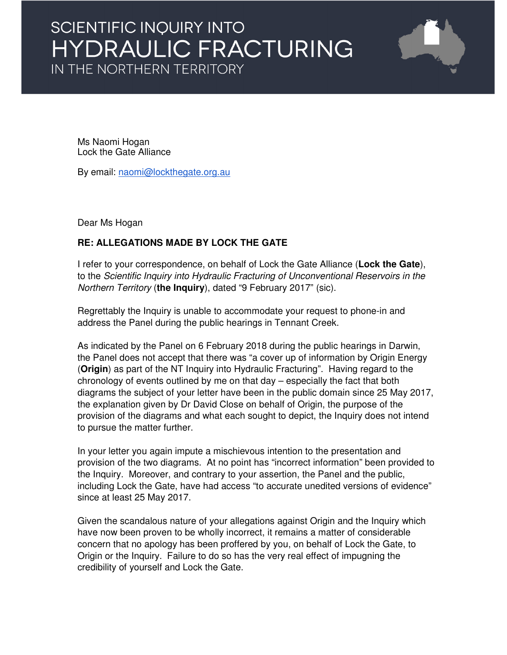## SCIENTIFIC INQUIRY INTO HYDRAULIC FRACTURING IN THE NORTHERN TERRITORY



Ms Naomi Hogan Lock the Gate Alliance

By email: naomi@lockthegate.org.au

Dear Ms Hogan

## **RE: ALLEGATIONS MADE BY LOCK THE GATE**

I refer to your correspondence, on behalf of Lock the Gate Alliance (**Lock the Gate**), to the Scientific Inquiry into Hydraulic Fracturing of Unconventional Reservoirs in the Northern Territory (**the Inquiry**), dated "9 February 2017" (sic).

Regrettably the Inquiry is unable to accommodate your request to phone-in and address the Panel during the public hearings in Tennant Creek.

As indicated by the Panel on 6 February 2018 during the public hearings in Darwin, the Panel does not accept that there was "a cover up of information by Origin Energy (**Origin**) as part of the NT Inquiry into Hydraulic Fracturing". Having regard to the chronology of events outlined by me on that day – especially the fact that both diagrams the subject of your letter have been in the public domain since 25 May 2017, the explanation given by Dr David Close on behalf of Origin, the purpose of the provision of the diagrams and what each sought to depict, the Inquiry does not intend to pursue the matter further.

In your letter you again impute a mischievous intention to the presentation and provision of the two diagrams. At no point has "incorrect information" been provided to the Inquiry. Moreover, and contrary to your assertion, the Panel and the public, including Lock the Gate, have had access "to accurate unedited versions of evidence" since at least 25 May 2017.

Given the scandalous nature of your allegations against Origin and the Inquiry which have now been proven to be wholly incorrect, it remains a matter of considerable concern that no apology has been proffered by you, on behalf of Lock the Gate, to Origin or the Inquiry. Failure to do so has the very real effect of impugning the credibility of yourself and Lock the Gate.